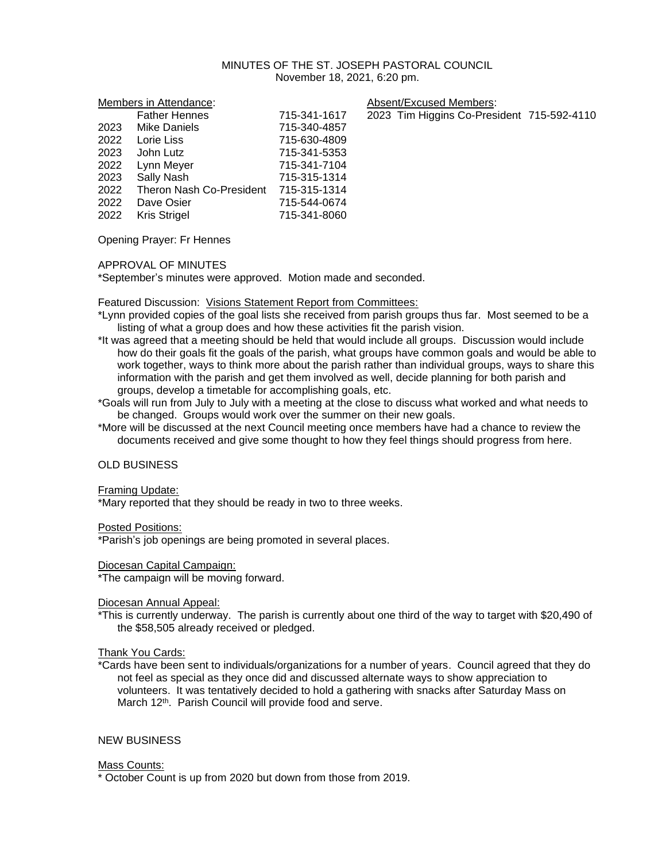## MINUTES OF THE ST. JOSEPH PASTORAL COUNCIL November 18, 2021, 6:20 pm.

| Members in Attendance: |                          | Absent/Excused Members: |                                            |
|------------------------|--------------------------|-------------------------|--------------------------------------------|
|                        | <b>Father Hennes</b>     | 715-341-1617            | 2023 Tim Higgins Co-President 715-592-4110 |
| 2023                   | Mike Daniels             | 715-340-4857            |                                            |
| 2022                   | Lorie Liss               | 715-630-4809            |                                            |
| 2023                   | John Lutz                | 715-341-5353            |                                            |
| 2022                   | Lynn Meyer               | 715-341-7104            |                                            |
| 2023                   | Sally Nash               | 715-315-1314            |                                            |
| 2022                   | Theron Nash Co-President | 715-315-1314            |                                            |
| 2022                   | Dave Osier               | 715-544-0674            |                                            |
| 2022                   | <b>Kris Strigel</b>      | 715-341-8060            |                                            |
|                        |                          |                         |                                            |

Opening Prayer: Fr Hennes

### APPROVAL OF MINUTES

\*September's minutes were approved. Motion made and seconded.

Featured Discussion: Visions Statement Report from Committees:

- \*Lynn provided copies of the goal lists she received from parish groups thus far. Most seemed to be a listing of what a group does and how these activities fit the parish vision.
- \*It was agreed that a meeting should be held that would include all groups. Discussion would include how do their goals fit the goals of the parish, what groups have common goals and would be able to work together, ways to think more about the parish rather than individual groups, ways to share this information with the parish and get them involved as well, decide planning for both parish and groups, develop a timetable for accomplishing goals, etc.
- \*Goals will run from July to July with a meeting at the close to discuss what worked and what needs to be changed. Groups would work over the summer on their new goals.
- \*More will be discussed at the next Council meeting once members have had a chance to review the documents received and give some thought to how they feel things should progress from here.

### OLD BUSINESS

### Framing Update:

\*Mary reported that they should be ready in two to three weeks.

### Posted Positions:

\*Parish's job openings are being promoted in several places.

### Diocesan Capital Campaign:

\*The campaign will be moving forward.

### Diocesan Annual Appeal:

\*This is currently underway. The parish is currently about one third of the way to target with \$20,490 of the \$58,505 already received or pledged.

### Thank You Cards:

\*Cards have been sent to individuals/organizations for a number of years. Council agreed that they do not feel as special as they once did and discussed alternate ways to show appreciation to volunteers. It was tentatively decided to hold a gathering with snacks after Saturday Mass on March 12<sup>th</sup>. Parish Council will provide food and serve.

## NEW BUSINESS

### Mass Counts:

\* October Count is up from 2020 but down from those from 2019.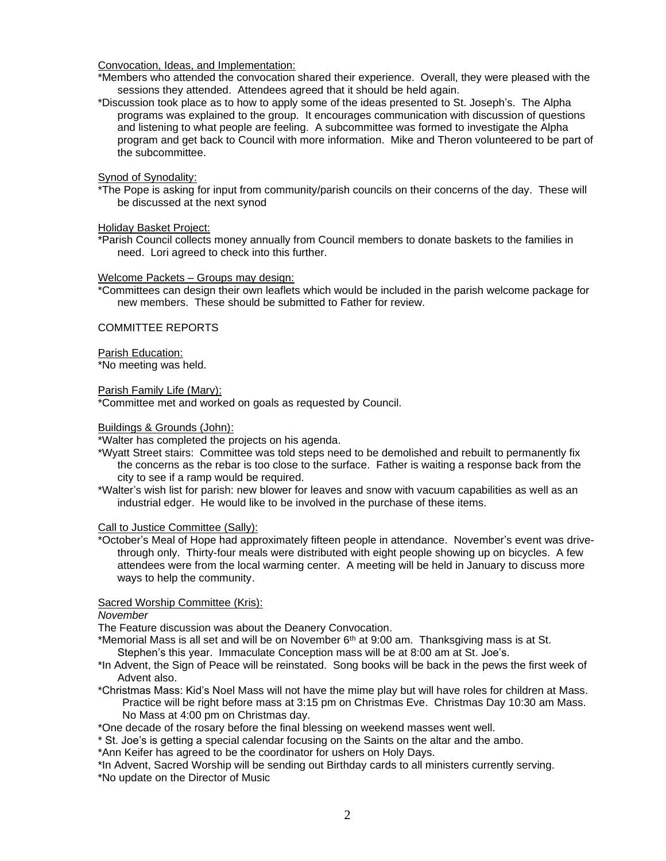Convocation, Ideas, and Implementation:

\*Members who attended the convocation shared their experience. Overall, they were pleased with the sessions they attended. Attendees agreed that it should be held again.

\*Discussion took place as to how to apply some of the ideas presented to St. Joseph's. The Alpha programs was explained to the group. It encourages communication with discussion of questions and listening to what people are feeling. A subcommittee was formed to investigate the Alpha program and get back to Council with more information. Mike and Theron volunteered to be part of the subcommittee.

Synod of Synodality:

\*The Pope is asking for input from community/parish councils on their concerns of the day. These will be discussed at the next synod

Holiday Basket Project:

\*Parish Council collects money annually from Council members to donate baskets to the families in need. Lori agreed to check into this further.

### Welcome Packets – Groups may design:

\*Committees can design their own leaflets which would be included in the parish welcome package for new members. These should be submitted to Father for review.

### COMMITTEE REPORTS

Parish Education:

\*No meeting was held.

Parish Family Life (Mary):

\*Committee met and worked on goals as requested by Council.

## Buildings & Grounds (John):

\*Walter has completed the projects on his agenda.

- \*Wyatt Street stairs: Committee was told steps need to be demolished and rebuilt to permanently fix the concerns as the rebar is too close to the surface. Father is waiting a response back from the city to see if a ramp would be required.
- \*Walter's wish list for parish: new blower for leaves and snow with vacuum capabilities as well as an industrial edger. He would like to be involved in the purchase of these items.

### Call to Justice Committee (Sally):

\*October's Meal of Hope had approximately fifteen people in attendance. November's event was drivethrough only. Thirty-four meals were distributed with eight people showing up on bicycles. A few attendees were from the local warming center. A meeting will be held in January to discuss more ways to help the community.

# Sacred Worship Committee (Kris):

*November*

The Feature discussion was about the Deanery Convocation.

\*Memorial Mass is all set and will be on November  $6<sup>th</sup>$  at 9:00 am. Thanksgiving mass is at St. Stephen's this year. Immaculate Conception mass will be at 8:00 am at St. Joe's.

\*In Advent, the Sign of Peace will be reinstated. Song books will be back in the pews the first week of Advent also.

\*Christmas Mass: Kid's Noel Mass will not have the mime play but will have roles for children at Mass. Practice will be right before mass at 3:15 pm on Christmas Eve. Christmas Day 10:30 am Mass. No Mass at 4:00 pm on Christmas day.

\*One decade of the rosary before the final blessing on weekend masses went well.

\* St. Joe's is getting a special calendar focusing on the Saints on the altar and the ambo.

\*Ann Keifer has agreed to be the coordinator for ushers on Holy Days.

\*In Advent, Sacred Worship will be sending out Birthday cards to all ministers currently serving. \*No update on the Director of Music